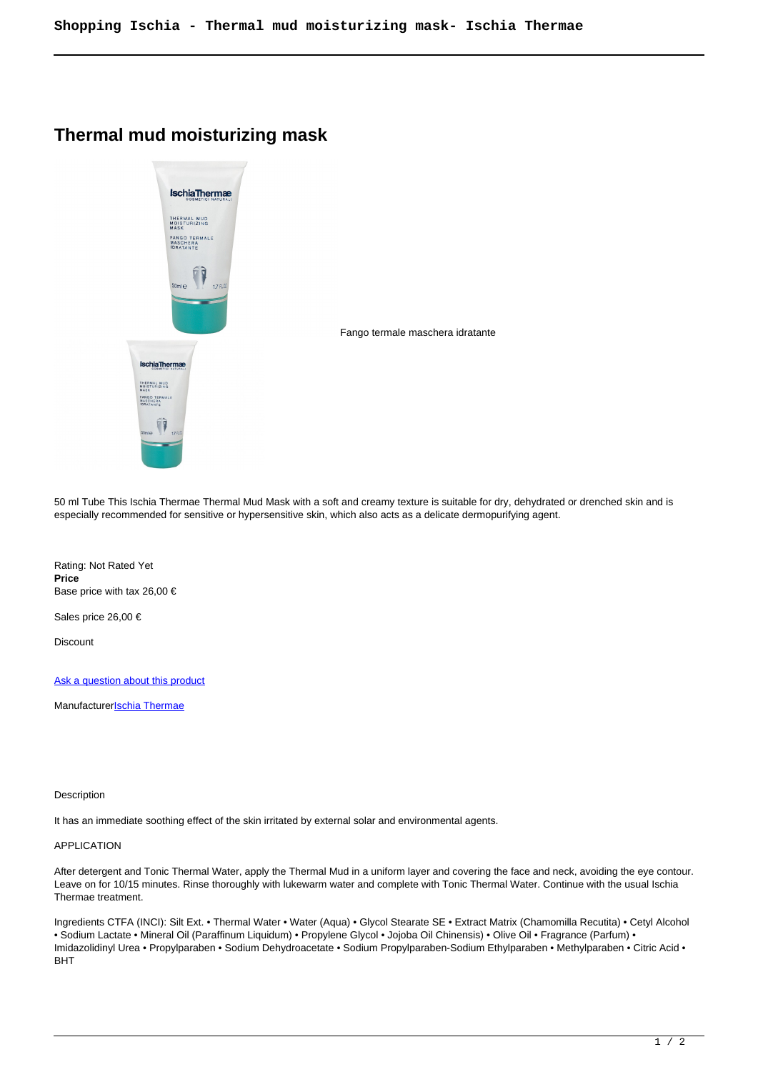## **Thermal mud moisturizing mask**



Fango termale maschera idratante

50 ml Tube This Ischia Thermae Thermal Mud Mask with a soft and creamy texture is suitable for dry, dehydrated or drenched skin and is especially recommended for sensitive or hypersensitive skin, which also acts as a delicate dermopurifying agent.

Rating: Not Rated Yet **Price**  Base price with tax 26,00 €

Sales price 26,00 €

**Discount** 

[Ask a question about this product](https://shop.ischia.it/index.php?option=com_virtuemart&view=productdetails&task=askquestion&virtuemart_product_id=90&virtuemart_category_id=5&tmpl=component)

Manufacturer**[Ischia Thermae](https://shop.ischia.it/index.php?option=com_virtuemart&view=manufacturer&virtuemart_manufacturer_id=4&tmpl=component)** 

**Description** 

It has an immediate soothing effect of the skin irritated by external solar and environmental agents.

## APPLICATION

After detergent and Tonic Thermal Water, apply the Thermal Mud in a uniform layer and covering the face and neck, avoiding the eye contour. Leave on for 10/15 minutes. Rinse thoroughly with lukewarm water and complete with Tonic Thermal Water. Continue with the usual Ischia Thermae treatment.

Ingredients CTFA (INCI): Silt Ext. • Thermal Water • Water (Aqua) • Glycol Stearate SE • Extract Matrix (Chamomilla Recutita) • Cetyl Alcohol • Sodium Lactate • Mineral Oil (Paraffinum Liquidum) • Propylene Glycol • Jojoba Oil Chinensis) • Olive Oil • Fragrance (Parfum) • Imidazolidinyl Urea • Propylparaben • Sodium Dehydroacetate • Sodium Propylparaben-Sodium Ethylparaben • Methylparaben • Citric Acid • BHT